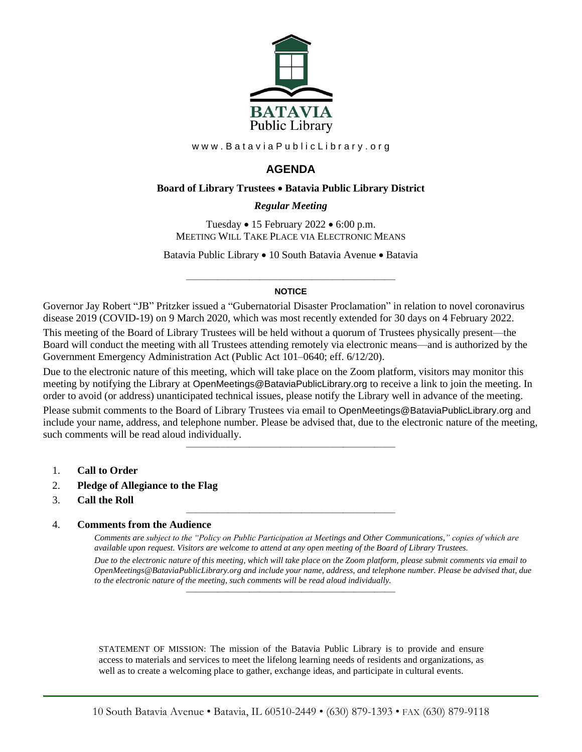

www.BataviaPublicLibrary.org

# **AGENDA**

#### **Board of Library Trustees** • **Batavia Public Library District**

## *0BRegular Meeting*

Tuesday • 15 February 2022 • 6:00 p.m. MEETING WILL TAKE PLACE VIA ELECTRONIC MEANS

Batavia Public Library • 10 South Batavia Avenue • Batavia

#### ———————————————————— **NOTICE**

Governor Jay Robert "JB" Pritzker issued a "Gubernatorial Disaster Proclamation" in relation to novel coronavirus disease 2019 (COVID-19) on 9 March 2020, which was most recently extended for 30 days on 4 February 2022.

This meeting of the Board of Library Trustees will be held without a quorum of Trustees physically present—the Board will conduct the meeting with all Trustees attending remotely via electronic means—and is authorized by the Government Emergency Administration Act (Public Act 101–0640; eff. 6/12/20).

Due to the electronic nature of this meeting, which will take place on the Zoom platform, visitors may monitor this meeting by notifying the Library at OpenMeetings@BataviaPublicLibrary.org to receive a link to join the meeting. In order to avoid (or address) unanticipated technical issues, please notify the Library well in advance of the meeting.

Please submit comments to the Board of Library Trustees via email to OpenMeetings@BataviaPublicLibrary.org and include your name, address, and telephone number. Please be advised that, due to the electronic nature of the meeting, such comments will be read aloud individually.

————————————————————

————————————————————

- 1. **Call to Order**
- 2. **Pledge of Allegiance to the Flag**
- 3. **Call the Roll**

#### 4. **Comments from the Audience**

*Comments are subject to the "Policy on Public Participation at Meetings and Other Communications," copies of which are available upon request. Visitors are welcome to attend at any open meeting of the Board of Library Trustees. Due to the electronic nature of this meeting, which will take place on the Zoom platform, please submit comments via email to OpenMeetings@BataviaPublicLibrary.org and include your name, address, and telephone number. Please be advised that, due to the electronic nature of the meeting, such comments will be read aloud individually.*

STATEMENT OF MISSION: The mission of the Batavia Public Library is to provide and ensure access to materials and services to meet the lifelong learning needs of residents and organizations, as well as to create a welcoming place to gather, exchange ideas, and participate in cultural events.

————————————————————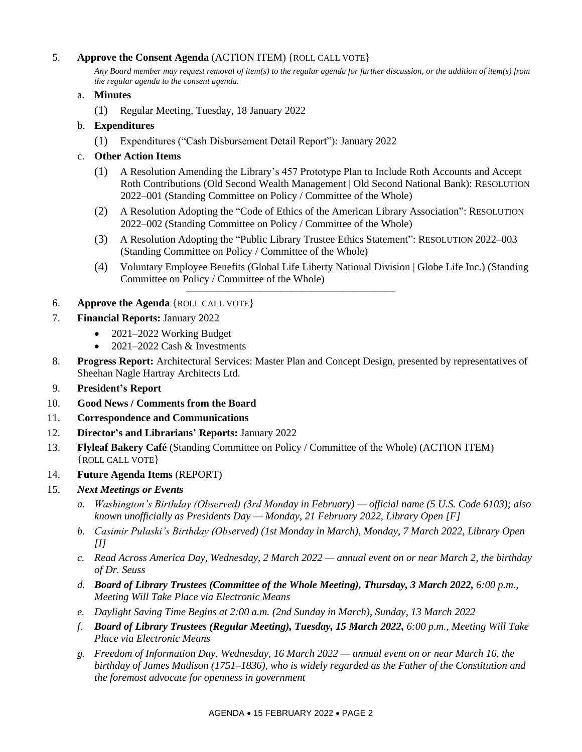# 5. **Approve the Consent Agenda** (ACTION ITEM) {ROLL CALL VOTE}

*Any Board member may request removal of item(s) to the regular agenda for further discussion, or the addition of item(s) from the regular agenda to the consent agenda.*

## a. **Minutes**

(1) Regular Meeting, Tuesday, 18 January 2022

## b. **Expenditures**

(1) Expenditures ("Cash Disbursement Detail Report"): January 2022

## c. **Other Action Items**

- (1) A Resolution Amending the Library's 457 Prototype Plan to Include Roth Accounts and Accept Roth Contributions (Old Second Wealth Management | Old Second National Bank): RESOLUTION 2022–001 (Standing Committee on Policy / Committee of the Whole)
- (2) A Resolution Adopting the "Code of Ethics of the American Library Association": RESOLUTION 2022–002 (Standing Committee on Policy / Committee of the Whole)
- (3) A Resolution Adopting the "Public Library Trustee Ethics Statement": RESOLUTION 2022–003 (Standing Committee on Policy / Committee of the Whole)
- (4) Voluntary Employee Benefits (Global Life Liberty National Division | Globe Life Inc.) (Standing Committee on Policy / Committee of the Whole)

## 6. **Approve the Agenda** {ROLL CALL VOTE}

- 7. **Financial Reports:** January 2022
	- 2021–2022 Working Budget
	- $2021-2022$  Cash & Investments
- 8. **Progress Report:** Architectural Services: Master Plan and Concept Design, presented by representatives of Sheehan Nagle Hartray Architects Ltd.

————————————————————

- 9. **President's Report**
- 10. **Good News / Comments from the Board**
- 11. **Correspondence and Communications**
- 12. **Director's and Librarians' Reports:** January 2022
- 13. **Flyleaf Bakery Café** (Standing Committee on Policy / Committee of the Whole) (ACTION ITEM) {ROLL CALL VOTE}
- 14. **Future Agenda Items** (REPORT)

## 15. *Next Meetings or Events*

- *a. Washington's Birthday (Observed) (3rd Monday in February) — official name (5 U.S. Code 6103); also known unofficially as Presidents Day — Monday, 21 February 2022, Library Open [F]*
- *b. Casimir Pulaski's Birthday (Observed) (1st Monday in March), Monday, 7 March 2022, Library Open [I]*
- *c. Read Across America Day, Wednesday, 2 March 2022 — annual event on or near March 2, the birthday of Dr. Seuss*
- *d. Board of Library Trustees (Committee of the Whole Meeting), Thursday, 3 March 2022, 6:00 p.m., Meeting Will Take Place via Electronic Means*
- *e. Daylight Saving Time Begins at 2:00 a.m. (2nd Sunday in March), Sunday, 13 March 2022*
- *f. Board of Library Trustees (Regular Meeting), Tuesday, 15 March 2022, 6:00 p.m., Meeting Will Take Place via Electronic Means*
- *g. Freedom of Information Day, Wednesday, 16 March 2022 — annual event on or near March 16, the birthday of James Madison (1751–1836), who is widely regarded as the Father of the Constitution and the foremost advocate for openness in government*